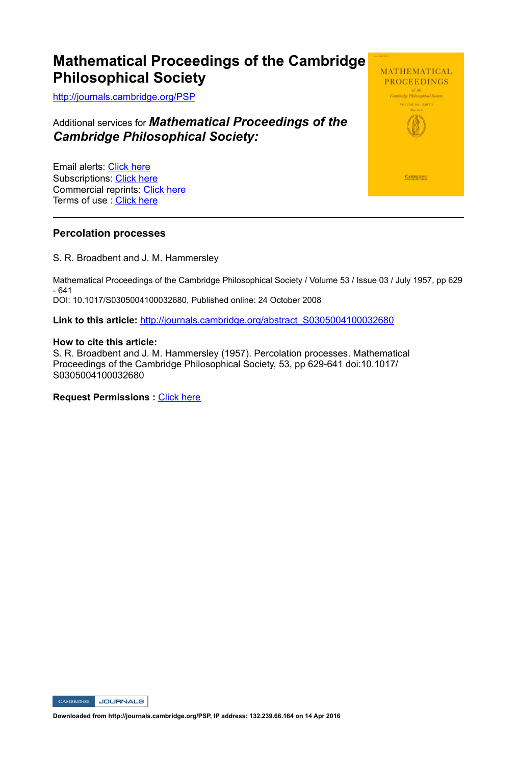## **Mathematical Proceedings of the Cambridge Philosophical Society**

http://journals.cambridge.org/PSP

Additional services for *Mathematical Proceedings of the Cambridge Philosophical Society:*

Email alerts: Click here Subscriptions: Click here Commercial reprints: Click here Terms of use : Click here

## **Percolation processes**

S. R. Broadbent and J. M. Hammersley

Mathematical Proceedings of the Cambridge Philosophical Society / Volume 53 / Issue 03 / July 1957, pp 629 - 641 DOI: 10.1017/S0305004100032680, Published online: 24 October 2008

Link to this article: http://journals.cambridge.org/abstract\_S0305004100032680

#### **How to cite this article:**

S. R. Broadbent and J. M. Hammersley (1957). Percolation processes. Mathematical Proceedings of the Cambridge Philosophical Society, 53, pp 629-641 doi:10.1017/ S0305004100032680

**Request Permissions :** Click here



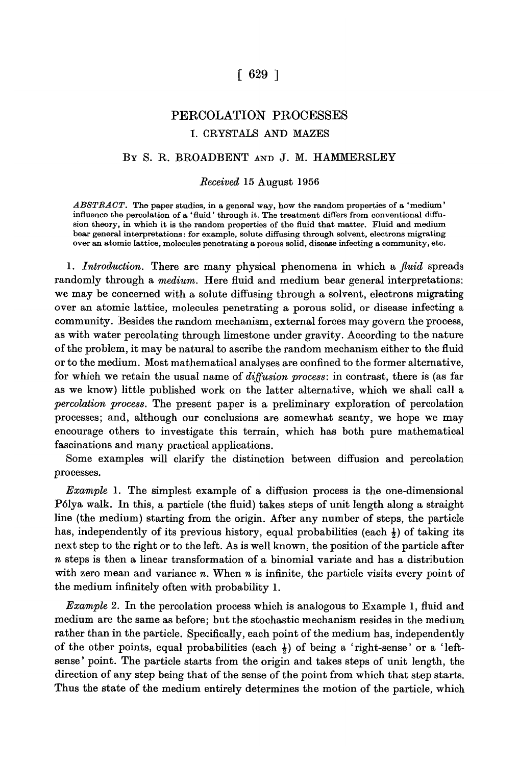## [ 629 ]

# PERCOLATION PROCESSES

## I. CRYSTALS AND MAZES

## BY S. R. BROADBENT AND J. M. HAMMERSLEY

#### *Received* 15 August 1956

 $ABSTRACT$ . The paper studies, in a general way, how the random properties of a 'medium' influence the percolation of a 'fluid' through it. The treatment differs from conventional diffusion theory, in which it is the random pro

1. *Introduction.* There are many physical phenomena in which a *fluid* spreads randomly through a *medium.* Here fluid and medium bear general interpretations: we may be concerned with a solute diffusing through a solvent, electrons migrating over an atomic lattice, molecules penetrating a porous solid, or disease infecting a community. Besides the random mechanism, external forces may govern the process, as with water percolating through limestone under gravity. According to the nature of the problem, it may be natural to ascribe the random mechanism either to the fluid or to the medium. Most mathematical analyses are confined to the former alternative, for which we retain the usual name of *diffusion process:* in contrast, there is (as far as we know) little published work on the latter alternative, which we shall call a *percolation process.* The present paper is a preliminary exploration of percolation processes; and, although our conclusions are somewhat scanty, we hope we may encourage others to investigate this terrain, which has both pure mathematical fascinations and many practical applications.

Some examples will clarify the distinction between diffusion and percolation processes.

*Example* 1. The simplest example of a diffusion process is the one-dimensional P61ya walk. In this, a particle (the fluid) takes steps of unit length along a straight line (the medium) starting from the origin. After any number of steps, the particle has, independently of its previous history, equal probabilities (each *\)* of taking its next step to the right or to the left. As is well known, the position of the particle after *n* steps is then a linear transformation of a binomial variate and has a distribution with zero mean and variance *n.* When *n* is infinite, the particle visits every point of the medium infinitely often with probability 1.

*Example* 2. In the percolation process which is analogous to Example 1, fluid and medium are the same as before; but the stochastic mechanism resides in the medium rather than in the particle. Specifically, each point of the medium has, independently of the other points, equal probabilities (each  $\frac{1}{2}$ ) of being a 'right-sense' or a 'leftsense ' point. The particle starts from the origin and takes steps of unit length, the direction of any step being that of the sense of the point from which that step starts. Thus the state of the medium entirely determines the motion of the particle, which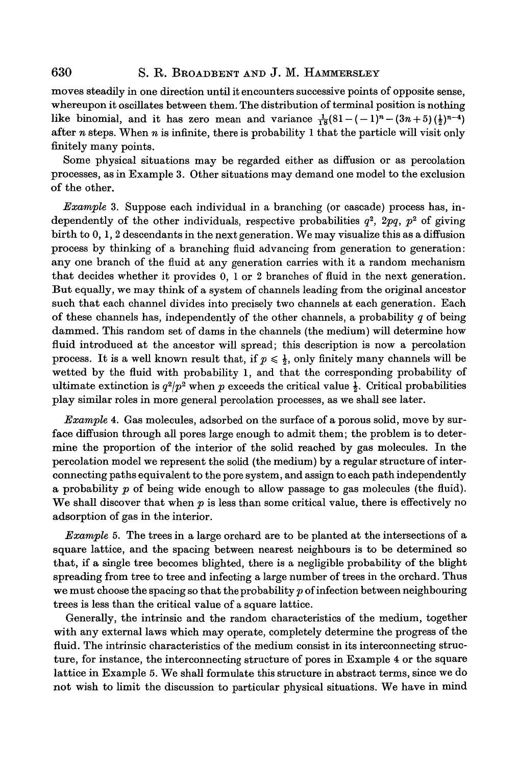### 630 S. R. BBOADBENT AND J. M. HAMMERSLEY

moves steadily in one direction until it encounters successive points of opposite sense, whereupon it oscillates between them. The distribution of terminal position is nothing like binomial, and it has zero mean and variance  $\frac{1}{18}(81 - (-1)^n - (3n + 5) (\frac{1}{2})^{n-4})$ after *n* steps. When *n* is infinite, there is probability 1 that the particle will visit only finitely many points.

Some physical situations may be regarded either as diffusion or as percolation processes, as in Example 3. Other situations may demand one model to the exclusion of the other.

*Example* 3. Suppose each individual in a branching (or cascade) process has, independently of the other individuals, respective probabilities  $q^2$ ,  $2pq$ ,  $p^2$  of giving birth to 0, 1, 2 descendants in the next generation. We may visualize this as a diffusion process by thinking of a branching fluid advancing from generation to generation: any one branch of the fluid at any generation carries with it a random mechanism that decides whether it provides 0, 1 or 2 branches of fluid in the next generation. But equally, we may think of a system of channels leading from the original ancestor such that each channel divides into precisely two channels at each generation. Each of these channels has, independently of the other channels, a probability *q* of being dammed. This random set of dams in the channels (the medium) will determine how fluid introduced at the ancestor will spread; this description is now a percolation process. It is a well known result that, if  $p \leq \frac{1}{2}$ , only finitely many channels will be wetted by the fluid with probability 1, and that the corresponding probability of ultimate extinction is  $q^2/p^2$  when p exceeds the critical value  $\frac{1}{2}$ . Critical probabilities play similar roles in more general percolation processes, as we shall see later.

*Example* 4. Gas molecules, adsorbed on the surface of a porous solid, move by surface diffusion through all pores large enough to admit them; the problem is to determine the proportion of the interior of the solid reached by gas molecules. In the percolation model we represent the solid (the medium) by a regular structure of interconnecting paths equivalent to the pore system, and assign to each path independently a probability *p* of being wide enough to allow passage to gas molecules (the fluid). We shall discover that when  $p$  is less than some critical value, there is effectively no adsorption of gas in the interior.

*Example* 5. The trees in a large orchard are to be planted at the intersections of a square lattice, and the spacing between nearest neighbours is to be determined so that, if a single tree becomes blighted, there is a negligible probability of the blight spreading from tree to tree and infecting a large number of trees in the orchard. Thus we must choose the spacing so that the probability *p* of infection between neighbouring trees is less than the critical value of a square lattice.

Generally, the intrinsic and the random characteristics of the medium, together with any external laws which may operate, completely determine the progress of the fluid. The intrinsic characteristics of the medium consist in its interconnecting structure, for instance, the interconnecting structure of pores in Example 4 or the square lattice in Example 5. We shall formulate this structure in abstract terms, since we do not wish to limit the discussion to particular physical situations. We have in mind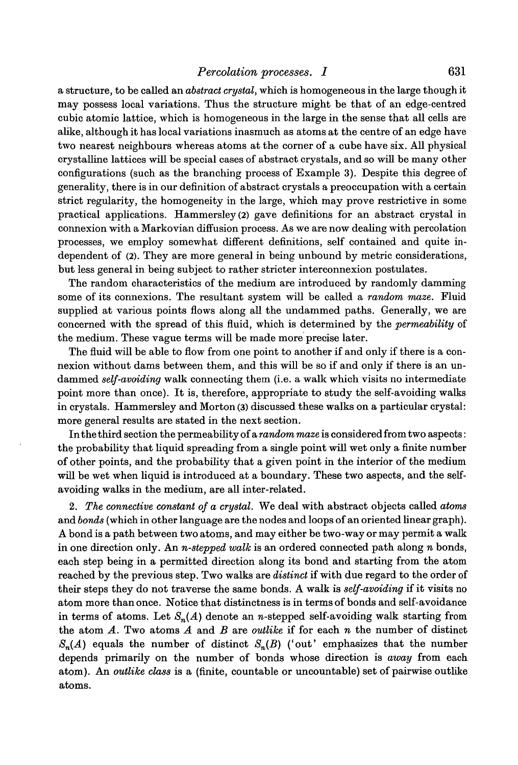a structure, to be called an *abstract crystal,* which is homogeneous in the large though it may possess local variations. Thus the structure might be that of an edge-centred cubic atomic lattice, which is homogeneous in the large in the sense that all cells are alike, although it has local variations inasmuch as atoms at the centre of an edge have two nearest neighbours whereas atoms at the corner of a cube have six. All physical crystalline lattices will be special cases of abstract crystals, and so will be many other configurations (such as the branching process of Example 3). Despite this degree of generality, there is in our definition of abstract crystals a preoccupation with a certain strict regularity, the homogeneity in the large, which may prove restrictive in some practical applications. Hammersley (2) gave definitions for an abstract crystal in connexion with a Markovian diffusion process. As we are now dealing with percolation processes, we employ somewhat different definitions, self contained and quite independent of (2). They are more general in being unbound by metric considerations, but less general in being subject to rather stricter interconnexion postulates.

The random characteristics of the medium are introduced by randomly damming some of its connexions. The resultant system will be called a *random maze.* Fluid supplied at various points flows along all the undammed paths. Generally, we are concerned with the spread of this fluid, which is determined by the *permeability* of the medium. These vague terms will be made more precise later.

The fluid will be able to flow from one point to another if and only if there is a connexion without dams between them, and this will be so if and only if there is an undammed *self-avoiding* walk connecting them (i.e. a walk which visits no intermediate point more than once). It is, therefore, appropriate to study the self-avoiding walks in crystals. Hammersley and Morton (3) discussed these walks on a particular crystal: more general results are stated in the next section.

In the third section the permeability of a *random maze* is considered from two aspects: the probability that liquid spreading from a single point will wet only a finite number of other points, and the probability that a given point in the interior of the medium will be wet when liquid is introduced at a boundary. These two aspects, and the selfavoiding walks in the medium, are all inter-related.

2. *The connective constant of a crystal.* We deal with abstract objects called *atoms* and *bonds* (which in other language are the nodes and loops of an oriented linear graph). A bond is a path between two atoms, and may either be two-way or may permit a walk in one direction only. An *n-stepped walk* is an ordered connected path along *n* bonds, each step being in a permitted direction along its bond and starting from the atom reached by the previous step. Two walks are *distinct* if with due regard to the order of their steps they do not traverse the same bonds. A walk is *self-avoiding* if it visits no atom more than once. Notice that distinctness is in terms of bonds and self-avoidance in terms of atoms. Let  $S_n(A)$  denote an *n*-stepped self-avoiding walk starting from the atom *A.* Two atoms *A* and *B* are *outlike* if for each *n* the number of distinct  $S_n(A)$  equals the number of distinct  $S_n(B)$  ('out' emphasizes that the number depends primarily on the number of bonds whose direction is *away* from each atom). An *outlike class* is a (finite, countable or uncountable) set of pairwise outlike atoms.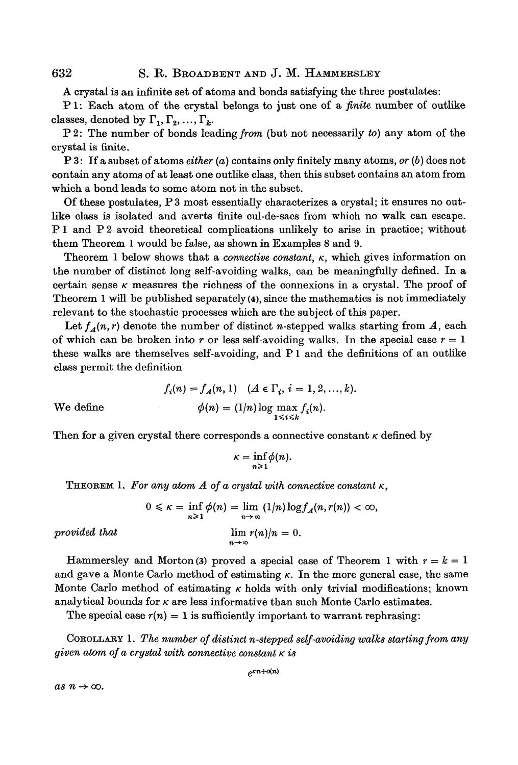## 632 S. R. BROADBENT AND J. M. HAMMERSLEY

A crystal is an infinite set of atoms and bonds satisfying the three postulates:

P 1 : Each atom of the crystal belongs to just one of a *finite* number of outlike classes, denoted by  $\Gamma_1, \Gamma_2, ..., \Gamma_k$ .

P2: The number of bonds leading *from* (but not necessarily *to)* any atom of the crystal is finite.

P 3: If a subset of atoms *either (a)* contains only finitely many atoms, *or (b)* does not contain any atoms of at least one outlike class, then this subset contains an atom from which a bond leads to some atom not in the subset.

Of these postulates, P3 most essentially characterizes a crystal; it ensures no outlike class is isolated and averts finite cul-de-sacs from which no walk can escape. P I and P2 avoid theoretical complications unlikely to arise in practice; without them Theorem 1 would be false, as shown in Examples 8 and 9.

Theorem 1 below shows that a *connective constant, K,* which gives information on the number of distinct long self-avoiding walks, can be meaningfully defined. In a certain sense  $\kappa$  measures the richness of the connexions in a crystal. The proof of Theorem 1 will be published separately (4), since the mathematics is not immediately relevant to the stochastic processes which are the subject of this paper.

Let  $f_{\mathcal{A}}(n,r)$  denote the number of distinct n-stepped walks starting from A, each of which can be broken into *r* or less self-avoiding walks. In the special case *r =* 1 these walks are themselves self-avoiding, and P 1 and the definitions of an outlike class permit the definition

$$
f_i(n) = f_A(n, 1) \quad (A \in \Gamma_i, i = 1, 2, ..., k).
$$

$$
\phi(n) = (1/n) \log \max_{1 \le i \le k} f_i(n).
$$

We define *(j>(n) = (l/n)log* max

Then for a given crystal there corresponds a connective constant 
$$
\kappa
$$
 defined by

$$
\kappa=\inf_{n\geqslant 1}\phi(n).
$$

**THEOREM 1.** For any atom A of a crystal with connective constant  $\kappa$ ,

$$
0 \leqslant \kappa = \inf_{n \geqslant 1} \phi(n) = \lim_{n \to \infty} (1/n) \log f_A(n, r(n)) < \infty,
$$
\n
$$
\lim_{n \to \infty} r(n)/n = 0.
$$

*provided that* 

Hammersley and Morton (3) proved a special case of Theorem 1 with  $r = k = 1$ and gave a Monte Carlo method of estimating  $\kappa$ . In the more general case, the same Monte Carlo method of estimating  $\kappa$  holds with only trivial modifications; known analytical bounds for  $\kappa$  are less informative than such Monte Carlo estimates.

The special case  $r(n) = 1$  is sufficiently important to warrant rephrasing:

COROLLARY 1. The number of distinct n-stepped self-avoiding walks starting from any *given atom of a crystal with connective constant K is*

*gKn+o(n)*

 $as n \rightarrow \infty$ .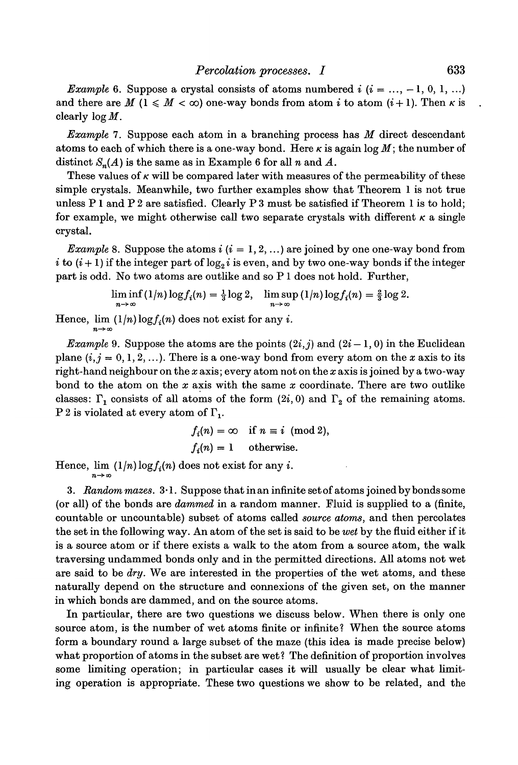*Example* 6. Suppose a crystal consists of atoms numbered  $i$  ( $i = ..., -1, 0, 1, ...$ ) and there are  $M$  ( $1 \leq M < \infty$ ) one-way bonds from atom *i* to atom  $(i + 1)$ . Then  $\kappa$  is clearly log *M.*

*Example* 7. Suppose each atom in a branching process has *M* direct descendant atoms to each of which there is a one-way bond. Here  $\kappa$  is again log  $M$ ; the number of distinct  $S_n(A)$  is the same as in Example 6 for all *n* and A.

These values of  $\kappa$  will be compared later with measures of the permeability of these simple crystals. Meanwhile, two further examples show that Theorem 1 is not true unless P 1 and P 2 are satisfied. Clearly P 3 must be satisfied if Theorem 1 is to hold; for example, we might otherwise call two separate crystals with different  $\kappa$  a single crystal.

*Example* 8. Suppose the atoms  $i$  ( $i = 1, 2, ...$ ) are joined by one one-way bond from *i* to  $(i+1)$  if the integer part of  $\log_2 i$  is even, and by two one-way bonds if the integer part is odd. No two atoms are outlike and so P1 does not hold. Further,

$$
\liminf_{n\to\infty} (1/n) \log f_i(n) = \frac{1}{3} \log 2, \quad \limsup_{n\to\infty} (1/n) \log f_i(n) = \frac{2}{3} \log 2.
$$

Hence,  $\lim_{n \to \infty} (1/n) \log f_i(n)$  does not exist for any *i*.

*Example* 9. Suppose the atoms are the points  $(2i,j)$  and  $(2i-1,0)$  in the Euclidean plane  $(i, j = 0, 1, 2, \ldots)$ . There is a one-way bond from every atom on the *x* axis to its right-hand neighbour on the *x* axis; every atom not on the *x* axis is joined by a two-way bond to the atom on the *x* axis with the same *x* coordinate. There are two outlike classes:  $\Gamma_1$  consists of all atoms of the form (2*i*, 0) and  $\Gamma_2$  of the remaining atoms. P 2 is violated at every atom of  $\Gamma_1$ .

$$
f_i(n) = \infty \quad \text{if } n \equiv i \pmod{2},
$$
  

$$
f_i(n) = 1 \quad \text{otherwise.}
$$

Hence,  $\lim_{n \to \infty} (1/n) \log f_i(n)$  does not exist for any *i*.

*n—***>oo**

3. *Randommazes.* 3-1. Suppose that in an infinite set of atoms joined by bonds some (or all) of the bonds are *dammed* in a random manner. Fluid is supplied to a (finite, countable or uncountable) subset of atoms called *source atoms,* and then percolates the set in the following way. An atom of the set is said to be *wet* by the fluid either if it is a source atom or if there exists a walk to the atom from a source atom, the walk traversing undammed bonds only and in the permitted directions. All atoms not wet are said to be *dry.* We are interested in the properties of the wet atoms, and these naturally depend on the structure and connexions of the given set, on the manner in which bonds are dammed, and on the source atoms.

In particular, there are two questions we discuss below. When there is only one source atom, is the number of wet atoms finite or infinite? When the source atoms form a boundary round a large subset of the maze (this idea is made precise below) what proportion of atoms in the subset are wet? The definition of proportion involves some limiting operation; in particular cases it will usually be clear what limiting operation is appropriate. These two questions we show to be related, and the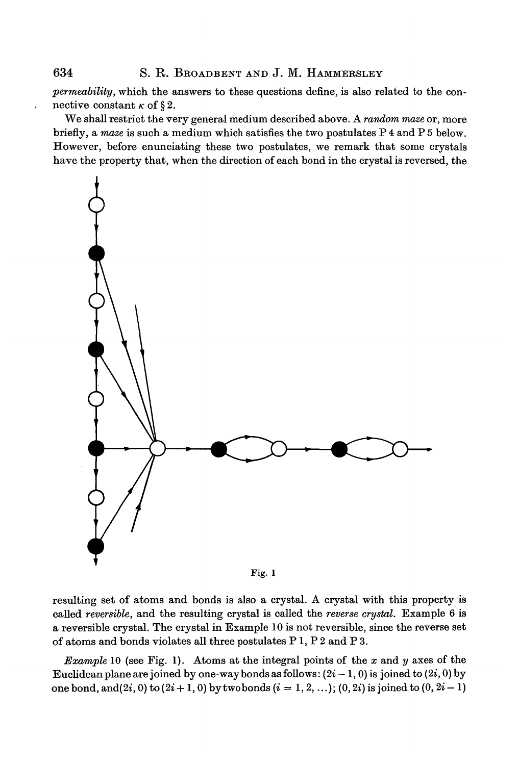*permeability,* which the answers to these questions define, is also related to the connective constant  $\kappa$  of § 2.

We shall restrict the very general medium described above. A *random maze* or, more briefly, a *maze* is such a medium which satisfies the two postulates P 4 and P 5 below. However, before enunciating these two postulates, we remark that some crystals have the property that, when the direction of each bond in the crystal is reversed, the



Fig. 1

resulting set of atoms and bonds is also a crystal. A crystal with this property is called *reversible,* and the resulting crystal is called the *reverse crystal.* Example 6 is a reversible crystal. The crystal in Example 10 is not reversible, since the reverse set of atoms and bonds violates all three postulates P 1, P 2 and P 3.

*Example* 10 (see Fig. 1). Atoms at the integral points of the *x* and *y* axes of the Euclidean plane are joined by one-way bonds as follows:  $(2i-1, 0)$  is joined to  $(2i, 0)$  by one bond, and  $(2i, 0)$  to  $(2i + 1, 0)$  by two bonds  $(i = 1, 2, ...)$ ;  $(0, 2i)$  is joined to  $(0, 2i - 1)$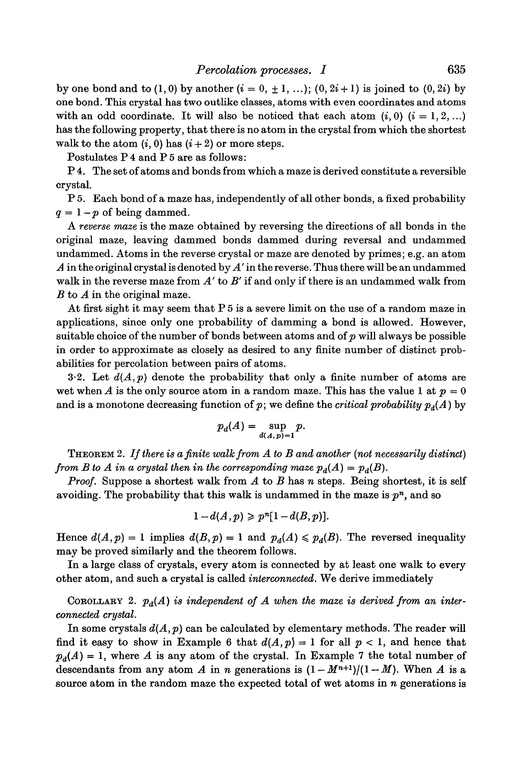by one bond and to (1,0) by another  $(i = 0, \pm 1, ...)$ ;  $(0, 2i + 1)$  is joined to  $(0, 2i)$  by one bond. This crystal has two outlike classes, atoms with even coordinates and atoms with an odd coordinate. It will also be noticed that each atom  $(i, 0)$   $(i = 1, 2, ...)$ has the following property, that there is no atom in the crystal from which the shortest walk to the atom  $(i, 0)$  has  $(i + 2)$  or more steps.

Postulates P 4 and P 5 are as follows:

P 4. The set of atoms and bonds from which a maze is derived constitute a reversible crystal.

P 5. Each bond of a maze has, independently of all other bonds, a fixed probability  $q = 1 - p$  of being dammed.

A *reverse maze* is the maze obtained by reversing the directions of all bonds in the original maze, leaving dammed bonds dammed during reversal and undammed undammed. Atoms in the reverse crystal or maze are denoted by primes; e.g. an atom *A* in the original crystal is denoted by *A'* in the reverse. Thus there will be an undammed walk in the reverse maze from *A'* to *B'* if and only if there is an undammed walk from *B* to *A* in the original maze.

At first sight it may seem that P 5 is a severe limit on the use of a random maze in applications, since only one probability of damming a bond is allowed. However, suitable choice of the number of bonds between atoms and of *p* will always be possible in order to approximate as closely as desired to any finite number of distinct probabilities for percolation between pairs of atoms.

3.2. Let  $d(A, p)$  denote the probability that only a finite number of atoms are wet when A is the only source atom in a random maze. This has the value 1 at  $p = 0$ and is a monotone decreasing function of p; we define the *critical probability*  $p_d(A)$  by

$$
p_d(A) = \sup_{d(A, p)=1} p.
$$

THEOREM 2. *If there is a finite walk from A to B and another {not necessarily distinct) from B to A in a crystal then in the corresponding maze*  $p_d(A) = p_d(B)$ .

*Proof.* Suppose a shortest walk from *A* to *B* has *n* steps. Being shortest, it is self avoiding. The probability that this walk is undammed in the maze is  $p^n$ , and so

$$
1-d(A,p)\geqslant p^n[1-d(B,p)].
$$

Hence  $d(A, p) = 1$  implies  $d(B, p) = 1$  and  $p_d(A) \leq p_d(B)$ . The reversed inequality may be proved similarly and the theorem follows.

In a large class of crystals, every atom is connected by at least one walk to every other atom, and such a crystal is called *interconnected.* We derive immediately

COROLLARY 2.  $p_d(A)$  is independent of A when the maze is derived from an inter*connected crystal.*

In some crystals  $d(A, p)$  can be calculated by elementary methods. The reader will find it easy to show in Example 6 that  $d(A, p) = 1$  for all  $p < 1$ , and hence that  $p_d(A) = 1$ , where A is any atom of the crystal. In Example 7 the total number of descendants from any atom A in *n* generations is  $(1 - M^{n+1})/(1 - M)$ . When A is a source atom in the random maze the expected total of wet atoms in *n* generations is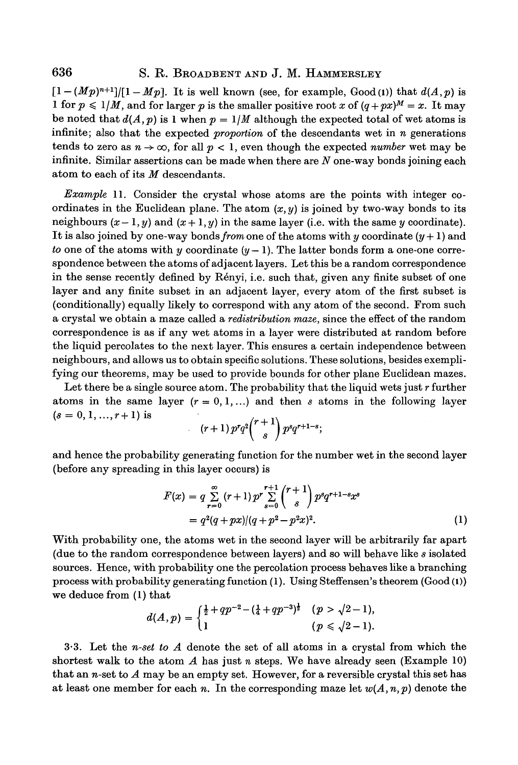## 636 S. R. BROADBENT AND J. M. HAMMERSLEY

 $[1-(Mp)^{n+1}]/[1-Mp]$ . It is well known (see, for example, Good(1)) that  $d(A,p)$  is 1 for  $p \leq 1/M$ , and for larger p is the smaller positive root x of  $(q + px)^M = x$ . It may be noted that  $d(A, p)$  is 1 when  $p = 1/M$  although the expected total of wet atoms is infinite; also that the expected *proportion* of the descendants wet in *n* generations tends to zero as  $n \to \infty$ , for all  $p < 1$ , even though the expected *number* wet may be infinite. Similar assertions can be made when there are *N* one-way bonds joining each atom to each of its *M* descendants.

*Example* 11. Consider the crystal whose atoms are the points with integer coordinates in the Euclidean plane. The atom  $(x, y)$  is joined by two-way bonds to its neighbours  $(x-1, y)$  and  $(x+1, y)$  in the same layer (i.e. with the same y coordinate). It is also joined by one-way bonds *from* one of the atoms with *y* coordinate *(y+l)* and *to* one of the atoms with *y* coordinate *(y* — 1). The latter bonds form a one-one correspondence between the atoms of adjacent layers. Let this be a random correspondence in the sense recently defined by Renyi, i.e. such that, given any finite subset of one layer and any finite subset in an adjacent layer, every atom of the first subset is (conditionally) equally likely to correspond with any atom of the second. From such a crystal we obtain a maze called a *redistribution maze,* since the effect of the random correspondence is as if any wet atoms in a layer were distributed at random before the liquid percolates to the next layer. This ensures a certain independence between neighbours, and allows us to obtain specific solutions. These solutions, besides exemplifying our theorems, may be used to provide bounds for other plane Euclidean mazes.

Let there be a single source atom. The probability that the liquid wets just *r* further atoms in the same layer  $(r = 0, 1, ...)$  and then *s* atoms in the following layer  $(s = 0, 1, ..., r + 1)$  is

$$
(r+1) p^{r} q^{2} {r+1 \choose s} p^{s} q^{r+1-s};
$$

and hence the probability generating function for the number wet in the second layer (before any spreading in this layer occurs) is

$$
F(x) = q \sum_{r=0}^{\infty} (r+1) p^r \sum_{s=0}^{r+1} {r+1 \choose s} p^s q^{r+1-s} x^s
$$
  
=  $q^2 (q + px) |(q+p^2-p^2 x)^2$ . (1)

With probability one, the atoms wet in the second layer will be arbitrarily far apart (due to the random correspondence between layers) and so will behave like *s* isolated sources. Hence, with probability one the percolation process behaves like a branching process with probability generating function  $(1)$ . Using Steffensen's theorem  $(Good(1))$ we deduce from (1) that

$$
d(A, p) = \begin{cases} \frac{1}{2} + q p^{-2} - (\frac{1}{4} + q p^{-3})^{\frac{1}{2}} & (p > \sqrt{2} - 1), \\ 1 & (p \leq \sqrt{2} - 1). \end{cases}
$$

3-3. Let the *n-set to A* denote the set of all atoms in a crystal from which the shortest walk to the atom *A* has just *n* steps. We have already seen (Example 10) that an n-set to *A* may be an empty set. However, for a reversible crystal this set has at least one member for each *n*. In the corresponding maze let  $w(A, n, p)$  denote the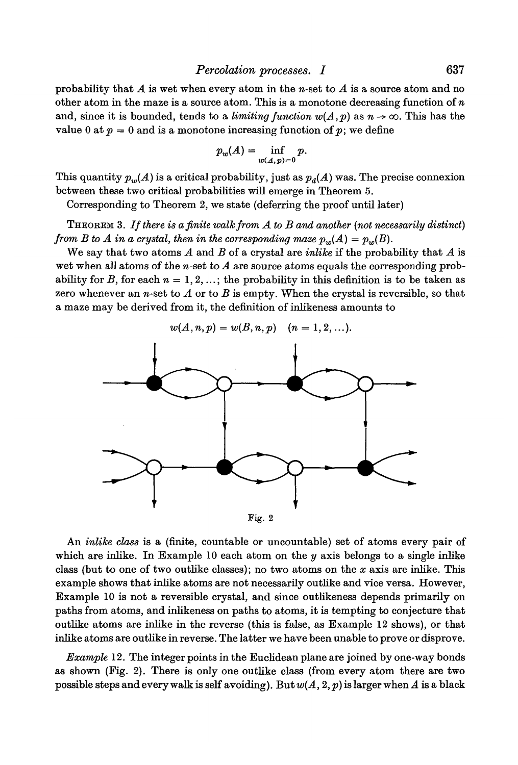probability that *A* is wet when every atom in the *n-set* to *A* is a source atom and no other atom in the maze is a source atom. This is a monotone decreasing function of *n* and, since it is bounded, tends to a *limiting function*  $w(A, p)$  as  $n \to \infty$ . This has the value 0 at  $p = 0$  and is a monotone increasing function of p; we define

$$
p_w(A) = \inf_{w(A,p)=0} p.
$$

This quantity  $p_w(A)$  is a critical probability, just as  $p_d(A)$  was. The precise connexion between these two critical probabilities will emerge in Theorem 5.

Corresponding to Theorem 2, we state (deferring the proof until later)

THEOREM 3. *If there is a finite walk from A to B and another (not necessarily distinct) from B to A in a crystal, then in the corresponding maze*  $p_w(A) = p_w(B)$ .

We say that two atoms *A* and *B* of a crystal are *inlike* if the probability that *A* is wet when all atoms of the *n*-set to *A* are source atoms equals the corresponding probability for B, for each  $n = 1, 2, \ldots$ ; the probability in this definition is to be taken as zero whenever an n-set to *A* or to *B* is empty. When the crystal is reversible, so that a maze may be derived from it, the definition of inlikeness amounts to



An *inlike class* is a (finite, countable or uncountable) set of atoms every pair of which are inlike. In Example 10 each atom on the *y* axis belongs to a single inlike class (but to one of two outlike classes); no two atoms on the *x* axis are inlike. This example shows that inlike atoms are not necessarily outlike and vice versa. However, Example 10 is not a reversible crystal, and since outlikeness depends primarily on paths from atoms, and inlikeness on paths to atoms, it is tempting to conjecture that outlike atoms are inlike in the reverse (this is false, as Example 12 shows), or that inlike atoms are outlike in reverse. The latter we have been unable to prove or disprove.

*Example* 12. The integer points in the Euclidean plane are joined by one-way bonds as shown (Fig. 2). There is only one outlike class (from every atom there are two possible steps and every walk is self avoiding). But  $w(A, 2, p)$  is larger when A is a black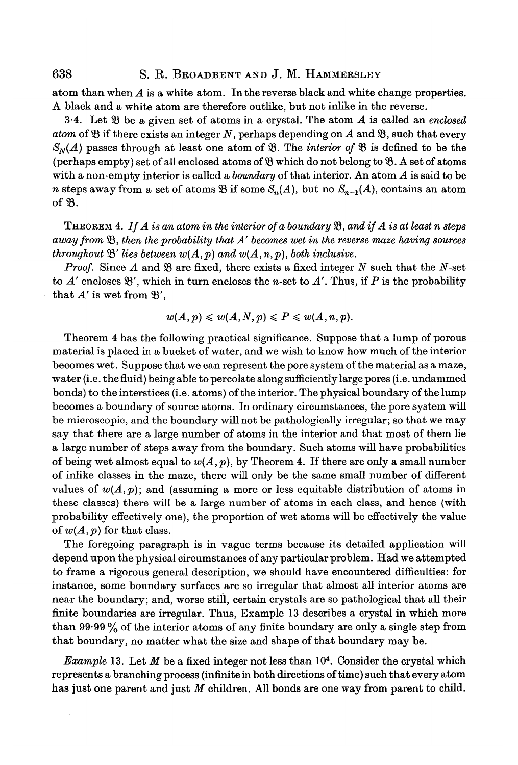atom than when *A* is a white atom. In the reverse black and white change properties. A black and a white atom are therefore outlike, but not inlike in the reverse.

3-4. Let 93 be a given set of atoms in a crystal. The atom *A* is called an *enclosed* atom of  $\mathfrak{B}$  if there exists an integer N, perhaps depending on A and  $\mathfrak{B}$ , such that every  $S_N(A)$  passes through at least one atom of  $\mathfrak{B}$ . The *interior of*  $\mathfrak{B}$  is defined to be the (perhaps empty) set of all enclosed atoms of  $\mathfrak{B}$  which do not belong to  $\mathfrak{B}$ . A set of atoms with a non-empty interior is called a *boundary* of that interior. An atom *A* is said to be *n* steps away from a set of atoms  $\mathfrak{B}$  if some  $S_n(A)$ , but no  $S_{n-1}(A)$ , contains an atom of  $\mathfrak{B}$ .

THEOREM 4. *If A is an atom in the interior of a boundary* 93, *and if A is at least n steps away from* 93, *then the probability that A' becomes wet in the reverse maze having sources throughout*  $\mathfrak{B}'$  *lies between*  $w(A, p)$  *and*  $w(A, n, p)$ *, both inclusive.* 

*Proof.* Since  $A$  and  $\mathfrak B$  are fixed, there exists a fixed integer  $N$  such that the  $N$ -set to  $A'$  encloses  $\mathfrak{B}'$ , which in turn encloses the *n*-set to  $A'$ . Thus, if P is the probability that  $A'$  is wet from  $\mathfrak{B}'$ ,

$$
w(A,p) \leq w(A,N,p) \leq P \leq w(A,n,p).
$$

Theorem 4 has the following practical significance. Suppose that a lump of porous material is placed in a bucket of water, and we wish to know how much of the interior becomes wet. Suppose that we can represent the pore system of the material as a maze, water (i.e. the fluid) being able to percolate along sufficiently large pores (i.e. undammed bonds) to the interstices (i.e. atoms) of the interior. The physical boundary of the lump becomes a boundary of source atoms. In ordinary circumstances, the pore system will be microscopic, and the boundary will not be pathologically irregular; so that we may say that there are a large number of atoms in the interior and that most of them lie a large number of steps away from the boundary. Such atoms will have probabilities of being wet almost equal to  $w(A, p)$ , by Theorem 4. If there are only a small number of inlike classes in the maze, there will only be the same small number of different values of  $w(A, p)$ ; and (assuming a more or less equitable distribution of atoms in these classes) there will be a large number of atoms in each class, and hence (with probability effectively one), the proportion of wet atoms will be effectively the value of  $w(A, p)$  for that class.

The foregoing paragraph is in vague terms because its detailed application will depend upon the physical circumstances of any particular problem. Had we attempted to frame a rigorous general description, we should have encountered difficulties: for instance, some boundary surfaces are so irregular that almost all interior atoms are near the boundary; and, worse still, certain crystals are so pathological that all their finite boundaries are irregular. Thus, Example 13 describes a crystal in which more than 99-99 % of the interior atoms of any finite boundary are only a single step from that boundary, no matter what the size and shape of that boundary may be.

*Example* 13. Let *M* be a fixed integer not less than 104 . Consider the crystal which represents a branching process (infinite in both directions of time) such that every atom has just one parent and just *M* children. All bonds are one way from parent to child.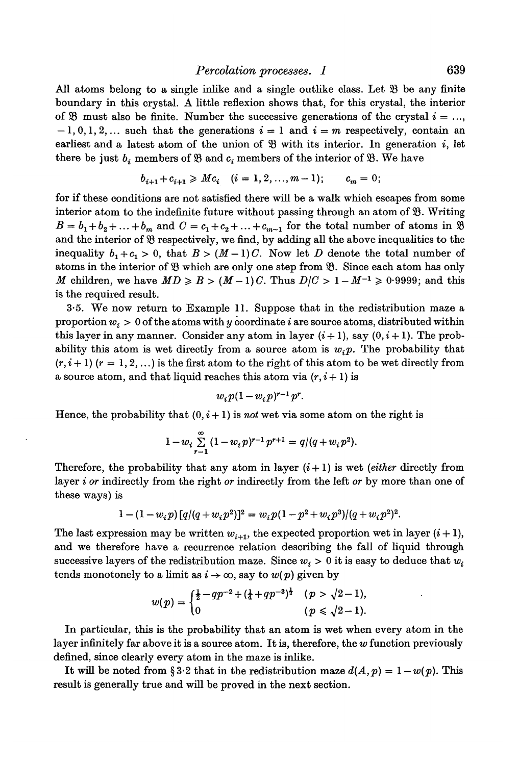#### *Percolation processes. I* 639

All atoms belong to a single inlike and a single outlike class. Let  $\mathfrak B$  be any finite boundary in this crystal. A little reflexion shows that, for this crystal, the interior of  $\mathfrak B$  must also be finite. Number the successive generations of the crystal  $i = ...$ ,  $-1, 0, 1, 2, \ldots$  such that the generations  $i = 1$  and  $i = m$  respectively, contain an earliest and a latest atom of the union of  $\mathfrak{B}$  with its interior. In generation *i*, let there be just  $b_i$  members of  $\mathfrak{B}$  and  $c_i$  members of the interior of  $\mathfrak{B}$ . We have

$$
b_{i+1} + c_{i+1} \geqslant Mc_i \quad (i = 1, 2, ..., m-1); \qquad c_m = 0;
$$

for if these conditions are not satisfied there will be a walk which escapes from some interior atom to the indefinite future without passing through an atom of  $\mathfrak{B}$ . Writing  $B = b_1 + b_2 + ... + b_m$  and  $C = c_1 + c_2 + ... + c_{m-1}$  for the total number of atoms in  $\mathfrak{B}$ and the interior of  $\mathfrak B$  respectively, we find, by adding all the above inequalities to the inequality  $b_1 + c_1 > 0$ , that  $B > (M-1)C$ . Now let D denote the total number of atoms in the interior of  $\mathfrak B$  which are only one step from  $\mathfrak B$ . Since each atom has only *M* children, we have  $MD \ge B > (M-1)C$ . Thus  $D/C > 1 - M^{-1} \ge 0.9999$ ; and this is the required result.

3-5. We now return to Example 11. Suppose that in the redistribution maze a proportion  $w_i > 0$  of the atoms with y coordinate *i* are source atoms, distributed within this layer in any manner. Consider any atom in layer  $(i+1)$ , say  $(0, i+1)$ . The probability this atom is wet directly from a source atom is  $w_i p$ . The probability that  $(r, i+1)$   $(r = 1, 2, ...)$  is the first atom to the right of this atom to be wet directly from a source atom, and that liquid reaches this atom via  $(r, i+1)$  is

$$
w_i p(1 - w_i p)^{r-1} p^r.
$$

Hence, the probability that  $(0, i+1)$  is *not* wet via some atom on the right is

$$
1 - w_i \sum_{r=1}^{\infty} (1 - w_i p)^{r-1} p^{r+1} = q/(q + w_i p^2).
$$

Therefore, the probability that any atom in layer *(i+* 1) is wet *(either* directly from layer *i or* indirectly from the right *or* indirectly from the left *or* by more than one of these ways) is

$$
1 - (1 - w_i p) \left[ q/(q + w_i p^2) \right]^2 = w_i p (1 - p^2 + w_i p^3) / (q + w_i p^2)^2.
$$

The last expression may be written  $w_{i+1}$ , the expected proportion wet in layer  $(i+1)$ , and we therefore have a recurrence relation describing the fall of liquid through successive layers of the redistribution maze. Since  $w_i > 0$  it is easy to deduce that  $w_i$ tends monotonely to a limit as  $i \to \infty$ , say to  $w(p)$  given by

$$
w(p) = \begin{cases} \frac{1}{2} - qp^{-2} + (\frac{1}{4} + qp^{-3})^{\frac{1}{2}} & (p > \sqrt{2} - 1), \\ 0 & (p \le \sqrt{2} - 1). \end{cases}
$$

In particular, this is the probability that an atom is wet when every atom in the layer infinitely far above it is a source atom. It is, therefore, the *w* function previously defined, since clearly every atom in the maze is inlike.

It will be noted from §3.2 that in the redistribution maze  $d(A, p) = 1 - w(p)$ . This result is generally true and will be proved in the next section.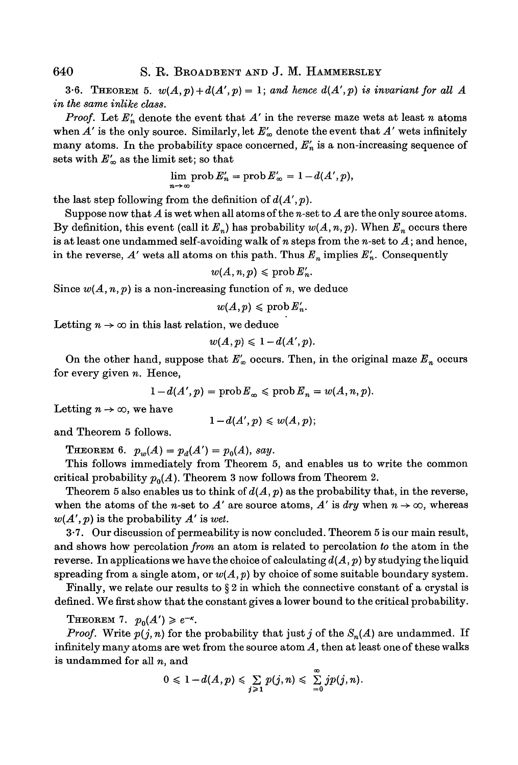640 S. R. BROADBENT AND J. M. HAMMERSLEY

3.6. THEOREM 5.  $w(A, p) + d(A', p) = 1$ ; and hence  $d(A', p)$  is invariant for all A *in the same inlike class.*

*Proof.* Let  $E'_n$  denote the event that  $A'$  in the reverse maze wets at least n atoms when  $A'$  is the only source. Similarly, let  $E'_{\infty}$  denote the event that  $A'$  wets infinitely many atoms. In the probability space concerned, *E'n* is a non-increasing sequence of sets with  $E'_{\infty}$  as the limit set; so that

$$
\lim_{n\to\infty}\text{prob}\,E'_n=\text{prob}\,E'_\infty=1-d(A',p),
$$

the last step following from the definition of  $d(A', p)$ .

Suppose now that  $A$  is wet when all atoms of the  $n$ -set to  $A$  are the only source atoms. By definition, this event (call it  $E_n$ ) has probability  $w(A, n, p)$ . When  $E_n$  occurs there is at least one undammed self-avoiding walk of *n* steps from the n-set to *A*; and hence, in the reverse,  $A'$  wets all atoms on this path. Thus  $E_n$  implies  $E'_n$ . Consequently

$$
w(A, n, p) \leqslant \text{prob } E'_n.
$$

Since *w(A, n,p)* is a non-increasing function of *n,* we deduce

$$
w(A,p)\leqslant {\rm prob}\, E_n'.
$$

Letting  $n \to \infty$  in this last relation, we deduce

$$
w(A,p) \leqslant 1 - d(A',p).
$$

On the other hand, suppose that  $E'_{\infty}$  occurs. Then, in the original maze  $E_n$  occurs for every given *n.* Hence,

$$
1 - d(A', p) = prob E_{\infty} \leqslant prob E_n = w(A, n, p).
$$

Letting  $n \to \infty$ , we have

$$
1-d(A',p)\leqslant w(A,p);
$$

and Theorem 5 follows.

**THEOREM 6.**  $p_w(A) = p_d(A') = p_0(A)$ , say.

This follows immediately from Theorem 5, and enables us to write the common critical probability  $p_0(A)$ . Theorem 3 now follows from Theorem 2.

Theorem 5 also enables us to think of  $d(A, p)$  as the probability that, in the reverse, when the atoms of the *n*-set to *A'* are source atoms, *A'* is *dry* when  $n \to \infty$ , whereas *w(A',p)* is the probability *A'* is *wet.*

3-7. Our discussion of permeability is now concluded. Theorem 5 is our main result, and shows how percolation *from* an atom is related to percolation *to* the atom in the reverse. In applications we have the choice of calculating  $d(A, p)$  by studying the liquid spreading from a single atom, or  $w(A, p)$  by choice of some suitable boundary system.

Finally, we relate our results to  $\S 2$  in which the connective constant of a crystal is defined. We first show that the constant gives a lower bound to the critical probability.

THEOREM 7.  $p_0(A') \geq e^{-\kappa}$ .

*Proof.* Write  $p(j, n)$  for the probability that just j of the  $S_n(A)$  are undammed. If infinitely many atoms are wet from the source atom *A,* then at least one of these walks is undammed for all *n,* and

$$
0\leqslant 1-d(A,p)\leqslant \sum_{j\geqslant 1}p(j,n)\leqslant \sum_{j=0}^\infty j p(j,n).
$$